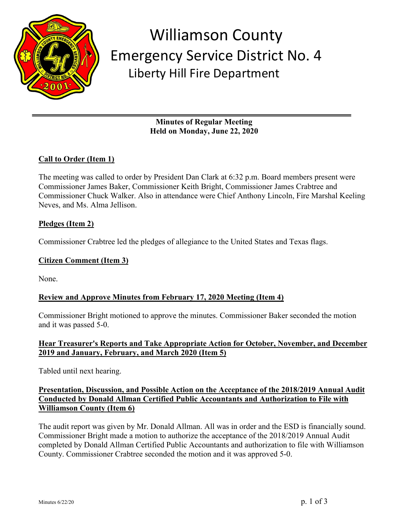

## Williamson County Emergency Service District No. 4 Liberty Hill Fire Department

**Minutes of Regular Meeting Held on Monday, June 22, 2020**

## **Call to Order (Item 1)**

The meeting was called to order by President Dan Clark at 6:32 p.m. Board members present were Commissioner James Baker, Commissioner Keith Bright, Commissioner James Crabtree and Commissioner Chuck Walker. Also in attendance were Chief Anthony Lincoln, Fire Marshal Keeling Neves, and Ms. Alma Jellison.

#### **Pledges (Item 2)**

Commissioner Crabtree led the pledges of allegiance to the United States and Texas flags.

#### **Citizen Comment (Item 3)**

None.

#### **Review and Approve Minutes from February 17, 2020 Meeting (Item 4)**

Commissioner Bright motioned to approve the minutes. Commissioner Baker seconded the motion and it was passed 5-0.

#### **Hear Treasurer's Reports and Take Appropriate Action for October, November, and December 2019 and January, February, and March 2020 (Item 5)**

Tabled until next hearing.

#### **Presentation, Discussion, and Possible Action on the Acceptance of the 2018/2019 Annual Audit Conducted by Donald Allman Certified Public Accountants and Authorization to File with Williamson County (Item 6)**

The audit report was given by Mr. Donald Allman. All was in order and the ESD is financially sound. Commissioner Bright made a motion to authorize the acceptance of the 2018/2019 Annual Audit completed by Donald Allman Certified Public Accountants and authorization to file with Williamson County. Commissioner Crabtree seconded the motion and it was approved 5-0.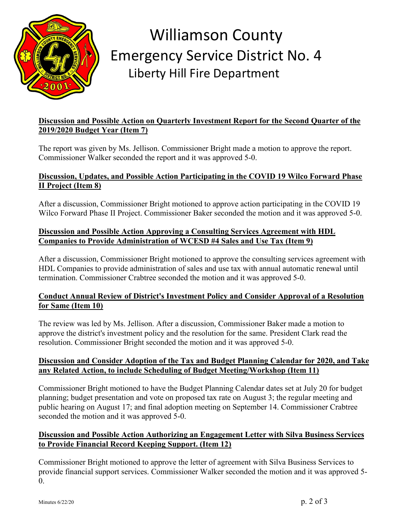

# Williamson County Emergency Service District No. 4 Liberty Hill Fire Department

## **Discussion and Possible Action on Quarterly Investment Report for the Second Quarter of the 2019/2020 Budget Year (Item 7)**

The report was given by Ms. Jellison. Commissioner Bright made a motion to approve the report. Commissioner Walker seconded the report and it was approved 5-0.

## **Discussion, Updates, and Possible Action Participating in the COVID 19 Wilco Forward Phase II Project (Item 8)**

After a discussion, Commissioner Bright motioned to approve action participating in the COVID 19 Wilco Forward Phase II Project. Commissioner Baker seconded the motion and it was approved 5-0.

#### **Discussion and Possible Action Approving a Consulting Services Agreement with HDL Companies to Provide Administration of WCESD #4 Sales and Use Tax (Item 9)**

After a discussion, Commissioner Bright motioned to approve the consulting services agreement with HDL Companies to provide administration of sales and use tax with annual automatic renewal until termination. Commissioner Crabtree seconded the motion and it was approved 5-0.

#### **Conduct Annual Review of District's Investment Policy and Consider Approval of a Resolution for Same (Item 10)**

The review was led by Ms. Jellison. After a discussion, Commissioner Baker made a motion to approve the district's investment policy and the resolution for the same. President Clark read the resolution. Commissioner Bright seconded the motion and it was approved 5-0.

#### **Discussion and Consider Adoption of the Tax and Budget Planning Calendar for 2020, and Take any Related Action, to include Scheduling of Budget Meeting/Workshop (Item 11)**

Commissioner Bright motioned to have the Budget Planning Calendar dates set at July 20 for budget planning; budget presentation and vote on proposed tax rate on August 3; the regular meeting and public hearing on August 17; and final adoption meeting on September 14. Commissioner Crabtree seconded the motion and it was approved 5-0.

#### **Discussion and Possible Action Authorizing an Engagement Letter with Silva Business Services to Provide Financial Record Keeping Support. (Item 12)**

Commissioner Bright motioned to approve the letter of agreement with Silva Business Services to provide financial support services. Commissioner Walker seconded the motion and it was approved 5-  $\Omega$ .